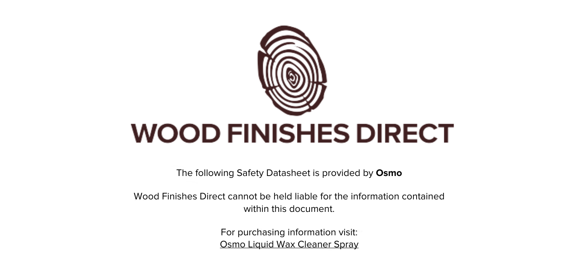

The following Safety Datasheet is provided by **Osmo**

Wood Finishes Direct cannot be held liable for the information contained within this document

> For purchasing information visit: [Osmo Liquid Wax Cleaner Spray](https://www.wood-finishes-direct.com/product/osmo-liquid-wax-cleaner-spray)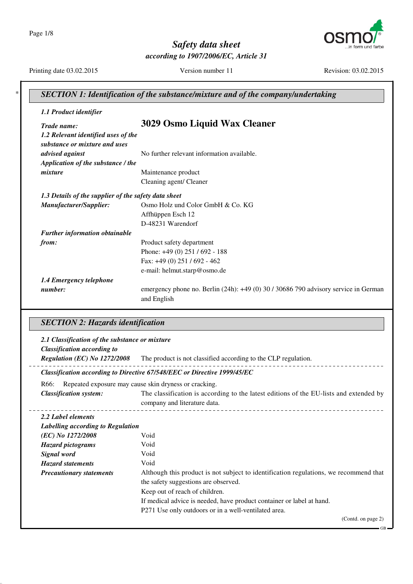Page 1/8



Safety data sheet according to 1907/2006/EC, Article 31

Printing date 03.02.2015

Version number 11

Revision: 03.02.2015

| 1.1 Product identifier                                             |                                                                                                                                                                                                                         |
|--------------------------------------------------------------------|-------------------------------------------------------------------------------------------------------------------------------------------------------------------------------------------------------------------------|
| Trade name:                                                        | 3029 Osmo Liquid Wax Cleaner                                                                                                                                                                                            |
| 1.2 Relevant identified uses of the                                |                                                                                                                                                                                                                         |
| substance or mixture and uses                                      |                                                                                                                                                                                                                         |
| advised against                                                    | No further relevant information available.                                                                                                                                                                              |
|                                                                    |                                                                                                                                                                                                                         |
| Application of the substance / the                                 |                                                                                                                                                                                                                         |
| mixture                                                            | Maintenance product                                                                                                                                                                                                     |
|                                                                    | Cleaning agent/ Cleaner                                                                                                                                                                                                 |
| 1.3 Details of the supplier of the safety data sheet               |                                                                                                                                                                                                                         |
| Manufacturer/Supplier:                                             | Osmo Holz und Color GmbH & Co. KG                                                                                                                                                                                       |
|                                                                    | Affhüppen Esch 12                                                                                                                                                                                                       |
|                                                                    | D-48231 Warendorf                                                                                                                                                                                                       |
| Further information obtainable                                     |                                                                                                                                                                                                                         |
| from:                                                              | Product safety department                                                                                                                                                                                               |
|                                                                    | Phone: +49 (0) 251 / 692 - 188                                                                                                                                                                                          |
|                                                                    | Fax: +49 (0) 251 / 692 - 462                                                                                                                                                                                            |
|                                                                    | e-mail: helmut.starp@osmo.de                                                                                                                                                                                            |
| 1.4 Emergency telephone                                            |                                                                                                                                                                                                                         |
| number:                                                            | emergency phone no. Berlin (24h): +49 (0) 30 / 30686 790 advisory service in German                                                                                                                                     |
|                                                                    |                                                                                                                                                                                                                         |
| <b>SECTION 2: Hazards identification</b>                           | and English                                                                                                                                                                                                             |
| 2.1 Classification of the substance or mixture                     |                                                                                                                                                                                                                         |
| <b>Classification according to</b><br>Regulation (EC) No 1272/2008 | The product is not classified according to the CLP regulation.                                                                                                                                                          |
|                                                                    | Classification according to Directive 67/548/EEC or Directive 1999/45/EC                                                                                                                                                |
| R66:                                                               |                                                                                                                                                                                                                         |
| <b>Classification system:</b>                                      | Repeated exposure may cause skin dryness or cracking.                                                                                                                                                                   |
|                                                                    | company and literature data.                                                                                                                                                                                            |
|                                                                    |                                                                                                                                                                                                                         |
| 2.2 Label elements                                                 |                                                                                                                                                                                                                         |
| Labelling according to Regulation                                  |                                                                                                                                                                                                                         |
| (EC) No 1272/2008                                                  | Void                                                                                                                                                                                                                    |
| <b>Hazard pictograms</b>                                           | Void                                                                                                                                                                                                                    |
| Signal word                                                        | Void                                                                                                                                                                                                                    |
| <b>Hazard statements</b>                                           | Void                                                                                                                                                                                                                    |
| <b>Precautionary statements</b>                                    |                                                                                                                                                                                                                         |
|                                                                    | The classification is according to the latest editions of the EU-lists and extended by<br>Although this product is not subject to identification regulations, we recommend that<br>the safety suggestions are observed. |
|                                                                    | Keep out of reach of children.                                                                                                                                                                                          |
|                                                                    | If medical advice is needed, have product container or label at hand.<br>P271 Use only outdoors or in a well-ventilated area.                                                                                           |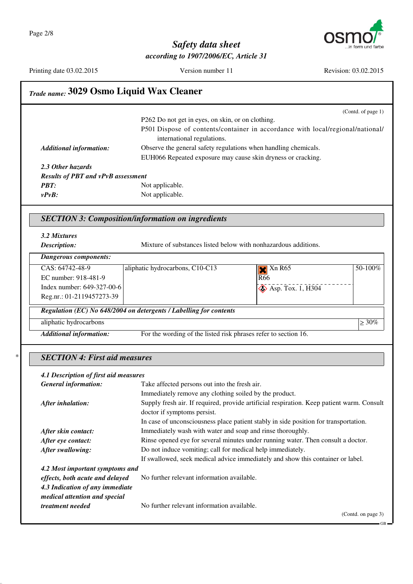$\ast$ 



## Safety data sheet according to 1907/2006/EC, Article 31

Printing date 03.02.2015

Version number 11

Revision: 03.02.2015

|                                           |                                                                    |                                                                                           | (Contd. of page 1) |
|-------------------------------------------|--------------------------------------------------------------------|-------------------------------------------------------------------------------------------|--------------------|
|                                           | P262 Do not get in eyes, on skin, or on clothing.                  |                                                                                           |                    |
|                                           |                                                                    | P501 Dispose of contents/container in accordance with local/regional/national/            |                    |
|                                           | international regulations.                                         |                                                                                           |                    |
| <b>Additional information:</b>            | Observe the general safety regulations when handling chemicals.    |                                                                                           |                    |
|                                           | EUH066 Repeated exposure may cause skin dryness or cracking.       |                                                                                           |                    |
| 2.3 Other hazards                         |                                                                    |                                                                                           |                    |
| <b>Results of PBT and vPvB assessment</b> |                                                                    |                                                                                           |                    |
| <b>PBT:</b>                               | Not applicable.                                                    |                                                                                           |                    |
| $v P v B$ :                               | Not applicable.                                                    |                                                                                           |                    |
|                                           | <b>SECTION 3: Composition/information on ingredients</b>           |                                                                                           |                    |
| 3.2 Mixtures                              |                                                                    |                                                                                           |                    |
| Description:                              | Mixture of substances listed below with nonhazardous additions.    |                                                                                           |                    |
|                                           |                                                                    |                                                                                           |                    |
| <b>Dangerous components:</b>              |                                                                    |                                                                                           |                    |
| CAS: 64742-48-9                           | aliphatic hydrocarbons, C10-C13                                    | $X \overline{R65}$                                                                        | 50-100%            |
| EC number: 918-481-9                      |                                                                    | R <sub>66</sub>                                                                           |                    |
| Index number: 649-327-00-6                |                                                                    | $\bigotimes$ Asp. Tox. 1, H304                                                            |                    |
| Reg.nr.: 01-2119457273-39                 |                                                                    |                                                                                           |                    |
|                                           | Regulation (EC) No 648/2004 on detergents / Labelling for contents |                                                                                           |                    |
| aliphatic hydrocarbons                    |                                                                    |                                                                                           | $\geq 30\%$        |
| <b>Additional information:</b>            | For the wording of the listed risk phrases refer to section 16.    |                                                                                           |                    |
| <b>SECTION 4: First aid measures</b>      |                                                                    |                                                                                           |                    |
|                                           |                                                                    |                                                                                           |                    |
|                                           |                                                                    |                                                                                           |                    |
| 4.1 Description of first aid measures     |                                                                    |                                                                                           |                    |
| <b>General information:</b>               | Take affected persons out into the fresh air.                      |                                                                                           |                    |
|                                           | Immediately remove any clothing soiled by the product.             |                                                                                           |                    |
| After inhalation:                         |                                                                    | Supply fresh air. If required, provide artificial respiration. Keep patient warm. Consult |                    |
|                                           | doctor if symptoms persist.                                        |                                                                                           |                    |
|                                           |                                                                    | In case of unconsciousness place patient stably in side position for transportation.      |                    |
| After skin contact:                       | Immediately wash with water and soap and rinse thoroughly.         |                                                                                           |                    |
| After eye contact:                        |                                                                    | Rinse opened eye for several minutes under running water. Then consult a doctor.          |                    |
| After swallowing:                         | Do not induce vomiting; call for medical help immediately.         | If swallowed, seek medical advice immediately and show this container or label.           |                    |
| 4.2 Most important symptoms and           |                                                                    |                                                                                           |                    |
| effects, both acute and delayed           | No further relevant information available.                         |                                                                                           |                    |
| 4.3 Indication of any immediate           |                                                                    |                                                                                           |                    |
| medical attention and special             |                                                                    |                                                                                           |                    |
| treatment needed                          | No further relevant information available.                         |                                                                                           |                    |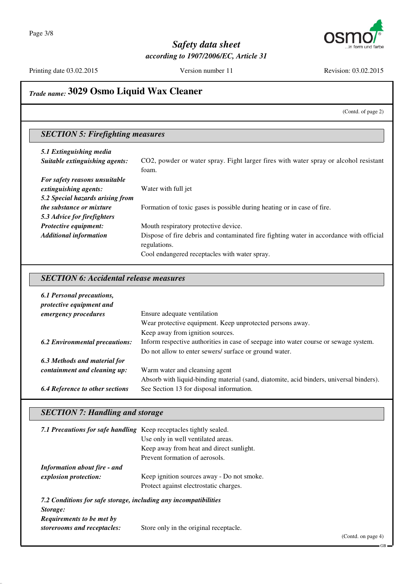

Printing date 03.02.2015

Version number 11

Revision: 03.02.2015

# Trade name: 3029 Osmo Liquid Wax Cleaner

(Contd. of page 2)

# **SECTION 5: Firefighting measures**

| 5.1 Extinguishing media<br>Suitable extinguishing agents: | CO2, powder or water spray. Fight larger fires with water spray or alcohol resistant<br>foam.           |
|-----------------------------------------------------------|---------------------------------------------------------------------------------------------------------|
| For safety reasons unsuitable                             |                                                                                                         |
| extinguishing agents:                                     | Water with full jet                                                                                     |
| 5.2 Special hazards arising from                          |                                                                                                         |
| <i>the substance or mixture</i>                           | Formation of toxic gases is possible during heating or in case of fire.                                 |
| 5.3 Advice for firefighters                               |                                                                                                         |
| Protective equipment:                                     | Mouth respiratory protective device.                                                                    |
| <b>Additional information</b>                             | Dispose of fire debris and contaminated fire fighting water in accordance with official<br>regulations. |
|                                                           | Cool endangered receptacles with water spray.                                                           |

#### **SECTION 6: Accidental release measures**

| 6.1 Personal precautions,<br>protective equipment and |                                                                                         |
|-------------------------------------------------------|-----------------------------------------------------------------------------------------|
| emergency procedures                                  | Ensure adequate ventilation                                                             |
|                                                       | Wear protective equipment. Keep unprotected persons away.                               |
|                                                       | Keep away from ignition sources.                                                        |
| <b>6.2 Environmental precautions:</b>                 | Inform respective authorities in case of seepage into water course or sewage system.    |
|                                                       | Do not allow to enter sewers/ surface or ground water.                                  |
| 6.3 Methods and material for                          |                                                                                         |
| containment and cleaning up:                          | Warm water and cleansing agent                                                          |
|                                                       | Absorb with liquid-binding material (sand, diatomite, acid binders, universal binders). |
| <b>6.4 Reference to other sections</b>                | See Section 13 for disposal information.                                                |

#### **SECTION 7: Handling and storage**

| 7.1 Precautions for safe handling Keep receptacles tightly sealed. |                                            |
|--------------------------------------------------------------------|--------------------------------------------|
|                                                                    | Use only in well ventilated areas.         |
|                                                                    | Keep away from heat and direct sunlight.   |
|                                                                    | Prevent formation of aerosols.             |
| <b>Information about fire - and</b>                                |                                            |
| explosion protection:                                              | Keep ignition sources away - Do not smoke. |
|                                                                    | Protect against electrostatic charges.     |
| 7.2 Conditions for safe storage, including any incompatibilities   |                                            |
| Storage:                                                           |                                            |
| <b>Requirements to be met by</b>                                   |                                            |
| storerooms and receptacles:                                        | Store only in the original receptacle.     |

(Contd. on page 4)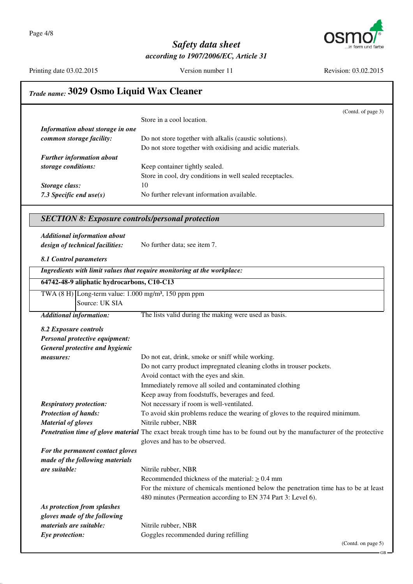

Printing date 03.02.2015

Version number 11

Revision: 03.02.2015

# Trade name: 3029 Osmo Liquid Wax Cleaner

|                                                                                      | (Contd. of page 3)                                                                                                                                         |
|--------------------------------------------------------------------------------------|------------------------------------------------------------------------------------------------------------------------------------------------------------|
|                                                                                      | Store in a cool location.                                                                                                                                  |
| Information about storage in one                                                     |                                                                                                                                                            |
| common storage facility:                                                             | Do not store together with alkalis (caustic solutions).                                                                                                    |
|                                                                                      | Do not store together with oxidising and acidic materials.                                                                                                 |
| <b>Further information about</b>                                                     |                                                                                                                                                            |
| storage conditions:                                                                  | Keep container tightly sealed.                                                                                                                             |
|                                                                                      | Store in cool, dry conditions in well sealed receptacles.                                                                                                  |
| Storage class:                                                                       | 10                                                                                                                                                         |
| 7.3 Specific end $use(s)$                                                            | No further relevant information available.                                                                                                                 |
| <b>SECTION 8: Exposure controls/personal protection</b>                              |                                                                                                                                                            |
| <b>Additional information about</b>                                                  |                                                                                                                                                            |
| design of technical facilities:                                                      | No further data; see item 7.                                                                                                                               |
| 8.1 Control parameters                                                               |                                                                                                                                                            |
|                                                                                      | Ingredients with limit values that require monitoring at the workplace:                                                                                    |
| 64742-48-9 aliphatic hydrocarbons, C10-C13                                           |                                                                                                                                                            |
| TWA $(8 H)$ Long-term value: 1.000 mg/m <sup>3</sup> , 150 ppm ppm<br>Source: UK SIA |                                                                                                                                                            |
| <b>Additional information:</b>                                                       | The lists valid during the making were used as basis.                                                                                                      |
| 8.2 Exposure controls                                                                |                                                                                                                                                            |
| Personal protective equipment:                                                       |                                                                                                                                                            |
| <b>General protective and hygienic</b>                                               |                                                                                                                                                            |
| measures:                                                                            | Do not eat, drink, smoke or sniff while working.                                                                                                           |
|                                                                                      | Do not carry product impregnated cleaning cloths in trouser pockets.                                                                                       |
|                                                                                      | Avoid contact with the eyes and skin.                                                                                                                      |
|                                                                                      | Immediately remove all soiled and contaminated clothing                                                                                                    |
|                                                                                      | Keep away from foodstuffs, beverages and feed.                                                                                                             |
| <b>Respiratory protection:</b>                                                       | Not necessary if room is well-ventilated.                                                                                                                  |
| <b>Protection of hands:</b>                                                          | To avoid skin problems reduce the wearing of gloves to the required minimum.                                                                               |
| <b>Material of gloves</b>                                                            | Nitrile rubber, NBR                                                                                                                                        |
|                                                                                      | Penetration time of glove material The exact break trough time has to be found out by the manufacturer of the protective<br>gloves and has to be observed. |
| For the permanent contact gloves                                                     |                                                                                                                                                            |
| made of the following materials                                                      |                                                                                                                                                            |
| are suitable:                                                                        | Nitrile rubber, NBR                                                                                                                                        |
|                                                                                      | Recommended thickness of the material: $\geq 0.4$ mm                                                                                                       |
|                                                                                      | For the mixture of chemicals mentioned below the penetration time has to be at least                                                                       |
|                                                                                      | 480 minutes (Permeation according to EN 374 Part 3: Level 6).                                                                                              |
| As protection from splashes                                                          |                                                                                                                                                            |
| gloves made of the following                                                         |                                                                                                                                                            |
| materials are suitable:                                                              | Nitrile rubber, NBR                                                                                                                                        |
| Eye protection:                                                                      | Goggles recommended during refilling                                                                                                                       |
|                                                                                      | (Contd. on page 5)                                                                                                                                         |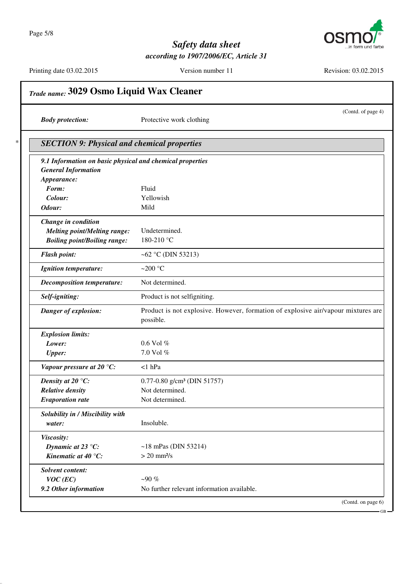$\ast$ 



## Safety data sheet according to 1907/2006/EC, Article 31

Printing date 03.02.2015

Version number 11

Revision: 03.02.2015

| <b>Body protection:</b>                                   | (Contd. of page 4)<br>Protective work clothing                                    |
|-----------------------------------------------------------|-----------------------------------------------------------------------------------|
| <b>SECTION 9: Physical and chemical properties</b>        |                                                                                   |
| 9.1 Information on basic physical and chemical properties |                                                                                   |
| <b>General Information</b>                                |                                                                                   |
| Appearance:                                               |                                                                                   |
| Form:                                                     | Fluid                                                                             |
| Colour:                                                   | Yellowish                                                                         |
| Odour:                                                    | Mild                                                                              |
| Change in condition                                       |                                                                                   |
| <b>Melting point/Melting range:</b>                       | Undetermined.                                                                     |
| <b>Boiling point/Boiling range:</b>                       | 180-210 °C                                                                        |
| <b>Flash point:</b>                                       | ~62 °C (DIN 53213)                                                                |
| <b>Ignition temperature:</b>                              | ~200 $\degree$ C                                                                  |
| <b>Decomposition temperature:</b>                         | Not determined.                                                                   |
| Self-igniting:                                            | Product is not selfigniting.                                                      |
| Danger of explosion:                                      | Product is not explosive. However, formation of explosive air/vapour mixtures are |
|                                                           | possible.                                                                         |
| <b>Explosion limits:</b>                                  |                                                                                   |
| Lower:                                                    | $0.6$ Vol $%$                                                                     |
| <b>Upper:</b>                                             | 7.0 Vol %                                                                         |
| Vapour pressure at 20 $°C$ :                              | $<1$ hPa                                                                          |
| Density at 20 $\degree$ C:                                | 0.77-0.80 g/cm <sup>3</sup> (DIN 51757)                                           |
| <b>Relative density</b>                                   | Not determined.                                                                   |
| <b>Evaporation rate</b>                                   | Not determined.                                                                   |
| Solubility in / Miscibility with                          |                                                                                   |
| water:                                                    | Insoluble.                                                                        |
| Viscosity:                                                |                                                                                   |
| Dynamic at 23 °C:                                         | $~18$ mPas (DIN 53214)                                                            |
| Kinematic at 40 °C:                                       | $> 20$ mm <sup>2</sup> /s                                                         |
| Solvent content:                                          |                                                                                   |
| $VOC$ (EC)                                                | $-90%$                                                                            |
| 9.2 Other information                                     | No further relevant information available.                                        |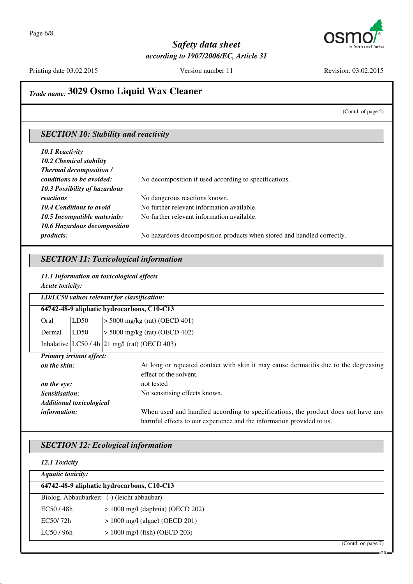

Printing date 03.02.2015

Version number 11

Revision: 03.02.2015

# Trade name: 3029 Osmo Liquid Wax Cleaner

(Contd. of page 5)

 $-GB$ 

#### **SECTION 10: Stability and reactivity**

| 10.1 Reactivity                      |                                                                        |
|--------------------------------------|------------------------------------------------------------------------|
| 10.2 Chemical stability              |                                                                        |
| <b>Thermal decomposition /</b>       |                                                                        |
| conditions to be avoided:            | No decomposition if used according to specifications.                  |
| <b>10.3 Possibility of hazardous</b> |                                                                        |
| reactions                            | No dangerous reactions known.                                          |
| <b>10.4 Conditions to avoid</b>      | No further relevant information available.                             |
| 10.5 Incompatible materials:         | No further relevant information available.                             |
| 10.6 Hazardous decomposition         |                                                                        |
| <i>products:</i>                     | No hazardous decomposition products when stored and handled correctly. |

#### **SECTION 11: Toxicological information**

11.1 Information on toxicological effects Acute toxicity:

|                | LD/LC50 values relevant for classification: |                                                                                     |  |
|----------------|---------------------------------------------|-------------------------------------------------------------------------------------|--|
|                | 64742-48-9 aliphatic hydrocarbons, C10-C13  |                                                                                     |  |
| Oral           | LD50                                        | $>$ 5000 mg/kg (rat) (OECD 401)                                                     |  |
| Dermal         | LD50                                        | $> 5000$ mg/kg (rat) (OECD 402)                                                     |  |
|                |                                             | Inhalative $ LC50/4h 21$ mg/l (rat) (OECD 403)                                      |  |
|                | <b>Primary irritant effect:</b>             |                                                                                     |  |
| on the skin:   |                                             | At long or repeated contact with skin it may cause dermatitis due to the degreasing |  |
|                |                                             | effect of the solvent.                                                              |  |
| on the eye:    |                                             | not tested                                                                          |  |
| Sensitisation: |                                             | No sensitising effects known.                                                       |  |
|                | <b>Additional toxicological</b>             |                                                                                     |  |
| information:   |                                             | When used and handled according to specifications, the product does not have any    |  |
|                |                                             | harmful effects to our experience and the information provided to us.               |  |

#### **SECTION 12: Ecological information**

| 12.1 Toxicity                                |                                    |  |
|----------------------------------------------|------------------------------------|--|
| <b>Aquatic toxicity:</b>                     |                                    |  |
| 64742-48-9 aliphatic hydrocarbons, C10-C13   |                                    |  |
| Biolog. Abbaubarkeit   (-) (leicht abbaubar) |                                    |  |
| EC50/48h                                     | $> 1000$ mg/l (daphnia) (OECD 202) |  |
| EC50/72h                                     | $> 1000$ mg/l (algae) (OECD 201)   |  |
| LC50/96h                                     | $> 1000$ mg/l (fish) (OECD 203)    |  |
|                                              | (Contd. on page 7)                 |  |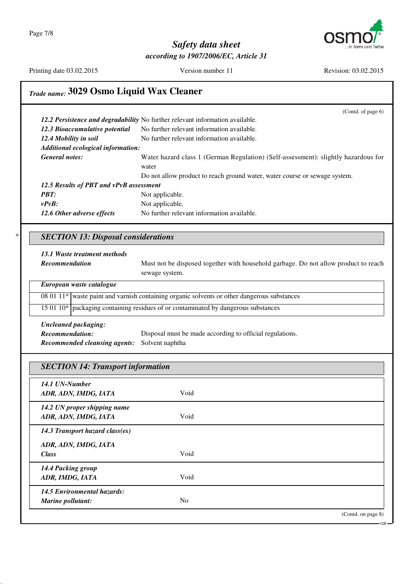Page 7/8



#### Safety data sheet according to 1907/2006/EC, Article 31

Printing date 03.02.2015

Version number 11

Revision: 03.02.2015

.<br>CR

# Trade name: 3029 Osmo Liquid Wax Cleaner

|                                            | (Contd. of page 6)                                                                                    |
|--------------------------------------------|-------------------------------------------------------------------------------------------------------|
|                                            | 12.2 Persistence and degradability No further relevant information available.                         |
| 12.3 Bioaccumulative potential             | No further relevant information available.                                                            |
| 12.4 Mobility in soil                      | No further relevant information available.                                                            |
| Additional ecological information:         |                                                                                                       |
| <b>General notes:</b>                      | Water hazard class 1 (German Regulation) (Self-assessment): slightly hazardous for                    |
|                                            | water                                                                                                 |
|                                            | Do not allow product to reach ground water, water course or sewage system.                            |
| 12.5 Results of PBT and vPvB assessment    |                                                                                                       |
| <b>PBT:</b>                                | Not applicable.                                                                                       |
| $v P v B$ :                                | Not applicable.                                                                                       |
| 12.6 Other adverse effects                 | No further relevant information available.                                                            |
| <b>SECTION 13: Disposal considerations</b> |                                                                                                       |
| 13.1 Waste treatment methods               |                                                                                                       |
| Recommendation                             | Must not be disposed together with household garbage. Do not allow product to reach<br>sewage system. |
| European waste catalogue                   |                                                                                                       |
|                                            | 08 01 11* waste paint and varnish containing organic solvents or other dangerous substances           |
|                                            | 15 01 10* packaging containing residues of or contaminated by dangerous substances                    |
| <b>Uncleaned packaging:</b>                |                                                                                                       |
| Recommendation:                            | Disposal must be made according to official regulations.                                              |
| <b>Recommended cleansing agents:</b>       | Solvent naphtha                                                                                       |
|                                            |                                                                                                       |
| <b>SECTION 14: Transport information</b>   |                                                                                                       |
| 14.1 UN-Number                             |                                                                                                       |
| ADR, ADN, IMDG, IATA                       | Void                                                                                                  |
| 14.2 UN proper shipping name               |                                                                                                       |
| ADR, ADN, IMDG, IATA                       | Void                                                                                                  |
| 14.3 Transport hazard class(es)            |                                                                                                       |
| ADR, ADN, IMDG, IATA                       |                                                                                                       |
| <b>Class</b>                               | Void                                                                                                  |
|                                            |                                                                                                       |
| 14.4 Packing group<br>ADR, IMDG, IATA      | Void                                                                                                  |
| 14.5 Environmental hazards:                | N <sub>o</sub>                                                                                        |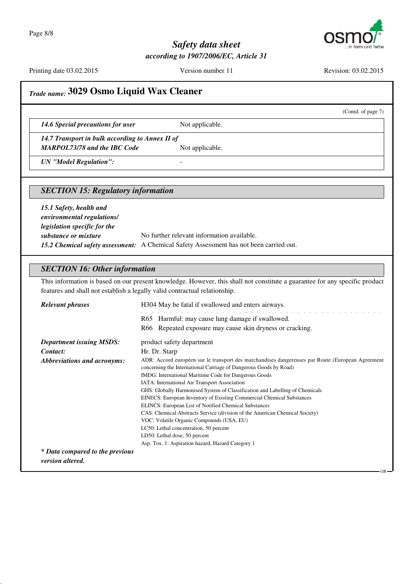

Printing date 03.02.2015

Version number 11

Revision: 03.02.2015

(Contd. of page 7)

# Trade name: 3029 Osmo Liquid Wax Cleaner

14.6 Special precautions for user

Not applicable.

14.7 Transport in bulk according to Annex II of MARPOL73/78 and the IBC Code

Not applicable.

 $\overline{a}$ 

**UN** "Model Regulation":

#### **SECTION 15: Regulatory information**

15.1 Safety, health and environmental regulations/ legislation specific for the No further relevant information available. substance or mixture 15.2 Chemical safety assessment: A Chemical Safety Assessment has not been carried out.

#### **SECTION 16: Other information**

This information is based on our present knowledge. However, this shall not constitute a guarantee for any specific product features and shall not establish a legally valid contractual relationship.

| <b>Relevant phrases</b>                                    | H304 May be fatal if swallowed and enters airways.                                                                                                                                                                                                                                                                                                                                                                                                                                                |
|------------------------------------------------------------|---------------------------------------------------------------------------------------------------------------------------------------------------------------------------------------------------------------------------------------------------------------------------------------------------------------------------------------------------------------------------------------------------------------------------------------------------------------------------------------------------|
|                                                            | R65 Harmful: may cause lung damage if swallowed.                                                                                                                                                                                                                                                                                                                                                                                                                                                  |
|                                                            | R66 Repeated exposure may cause skin dryness or cracking.                                                                                                                                                                                                                                                                                                                                                                                                                                         |
| <b>Department issuing MSDS:</b>                            | product safety department                                                                                                                                                                                                                                                                                                                                                                                                                                                                         |
| Contact:                                                   | Hr. Dr. Starp                                                                                                                                                                                                                                                                                                                                                                                                                                                                                     |
| Abbreviations and acronyms:                                | ADR: Accord européen sur le transport des marchandises dangereuses par Route (European Agreement<br>concerning the International Carriage of Dangerous Goods by Road)<br>IMDG: International Maritime Code for Dangerous Goods<br>IATA: International Air Transport Association<br>GHS: Globally Harmonised System of Classification and Labelling of Chemicals<br>EINECS: European Inventory of Existing Commercial Chemical Substances<br>ELINCS: European List of Notified Chemical Substances |
|                                                            | CAS: Chemical Abstracts Service (division of the American Chemical Society)<br>VOC: Volatile Organic Compounds (USA, EU)<br>LC50: Lethal concentration, 50 percent<br>LD50: Lethal dose, 50 percent<br>Asp. Tox. 1: Aspiration hazard, Hazard Category 1                                                                                                                                                                                                                                          |
| * Data compared to the previous<br><i>version altered.</i> |                                                                                                                                                                                                                                                                                                                                                                                                                                                                                                   |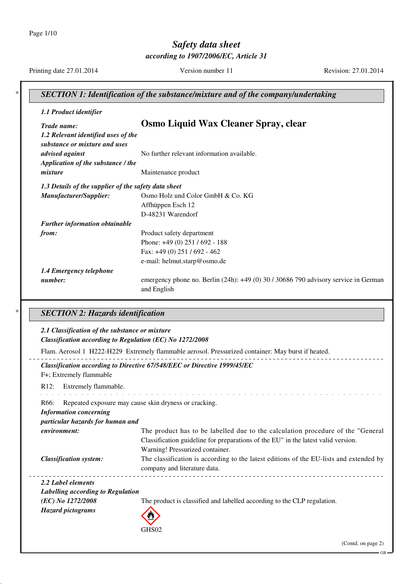Page 1/10

# Safety data sheet

according to 1907/2006/EC, Article 31

Printing date 27.01.2014

Version number 11

Revision: 27.01.2014

| <b>SECTION 1: Identification of the substance/mixture and of the company/undertaking</b> |                                                                                                                      |
|------------------------------------------------------------------------------------------|----------------------------------------------------------------------------------------------------------------------|
| 1.1 Product identifier                                                                   |                                                                                                                      |
| Trade name:<br>1.2 Relevant identified uses of the<br>substance or mixture and uses      | Osmo Liquid Wax Cleaner Spray, clear                                                                                 |
| advised against<br>Application of the substance / the                                    | No further relevant information available.                                                                           |
| mixture                                                                                  | Maintenance product                                                                                                  |
| 1.3 Details of the supplier of the safety data sheet                                     |                                                                                                                      |
| Manufacturer/Supplier:                                                                   | Osmo Holz und Color GmbH & Co. KG                                                                                    |
|                                                                                          | Affhüppen Esch 12                                                                                                    |
|                                                                                          | D-48231 Warendorf                                                                                                    |
| <b>Further information obtainable</b>                                                    |                                                                                                                      |
| from:                                                                                    | Product safety department                                                                                            |
|                                                                                          | Phone: +49 (0) 251 / 692 - 188                                                                                       |
|                                                                                          | Fax: +49 (0) 251 / 692 - 462                                                                                         |
|                                                                                          | e-mail: helmut.starp@osmo.de                                                                                         |
| 1.4 Emergency telephone                                                                  |                                                                                                                      |
| number:                                                                                  | emergency phone no. Berlin (24h): +49 (0) 30 / 30686 790 advisory service in German<br>and English                   |
| <b>SECTION 2: Hazards identification</b>                                                 |                                                                                                                      |
| 2.1 Classification of the substance or mixture                                           |                                                                                                                      |
|                                                                                          | Classification according to Regulation (EC) No 1272/2008                                                             |
|                                                                                          | Flam. Aerosol 1 H222-H229 Extremely flammable aerosol. Pressurized container: May burst if heated.                   |
| F+; Extremely flammable                                                                  | Classification according to Directive 67/548/EEC or Directive 1999/45/EC                                             |
| R12: Extremely flammable.                                                                |                                                                                                                      |
| R66:                                                                                     | Repeated exposure may cause skin dryness or cracking.                                                                |
| <b>Information concerning</b>                                                            |                                                                                                                      |
| particular hazards for human and                                                         |                                                                                                                      |
| environment:                                                                             | The product has to be labelled due to the calculation procedure of the "General"                                     |
|                                                                                          | Classification guideline for preparations of the EU" in the latest valid version.<br>Warning! Pressurized container. |
|                                                                                          |                                                                                                                      |
| <b>Classification system:</b>                                                            | The classification is according to the latest editions of the EU-lists and extended by                               |
|                                                                                          | company and literature data.                                                                                         |
| 2.2 Label elements                                                                       |                                                                                                                      |
| Labelling according to Regulation                                                        |                                                                                                                      |
| (EC) No 1272/2008                                                                        | The product is classified and labelled according to the CLP regulation.                                              |
| <b>Hazard</b> pictograms                                                                 |                                                                                                                      |
|                                                                                          | GHS02                                                                                                                |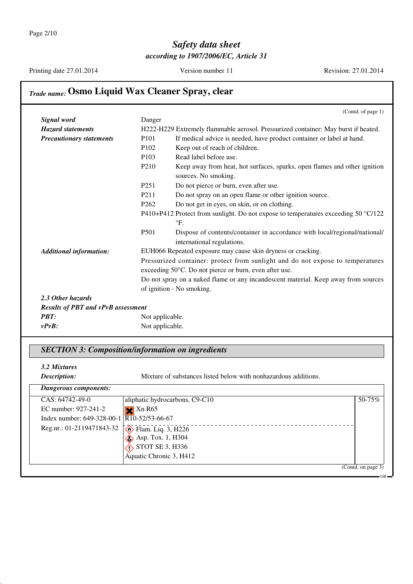Printing date 27.01.2014

Version number 11

Revision: 27.01.2014

# Trade name: Osmo Liquid Wax Cleaner Spray, clear

|                                           |                   | (Contd. of page 1)                                                                                                                       |
|-------------------------------------------|-------------------|------------------------------------------------------------------------------------------------------------------------------------------|
| Signal word                               | Danger            |                                                                                                                                          |
| <b>Hazard statements</b>                  |                   | H222-H229 Extremely flammable aerosol. Pressurized container: May burst if heated.                                                       |
| <b>Precautionary statements</b>           | P <sub>101</sub>  | If medical advice is needed, have product container or label at hand.                                                                    |
|                                           | P <sub>102</sub>  | Keep out of reach of children.                                                                                                           |
|                                           | P <sub>103</sub>  | Read label before use.                                                                                                                   |
|                                           | P <sub>210</sub>  | Keep away from heat, hot surfaces, sparks, open flames and other ignition<br>sources. No smoking.                                        |
|                                           | P <sub>251</sub>  | Do not pierce or burn, even after use.                                                                                                   |
|                                           | P <sub>2</sub> 11 | Do not spray on an open flame or other ignition source.                                                                                  |
|                                           | P <sub>262</sub>  | Do not get in eyes, on skin, or on clothing.                                                                                             |
|                                           |                   | P410+P412 Protect from sunlight. Do not expose to temperatures exceeding 50 °C/122<br>$\mathrm{P}F$ .                                    |
|                                           | P <sub>501</sub>  | Dispose of contents/container in accordance with local/regional/national/<br>international regulations.                                  |
| <b>Additional information:</b>            |                   | EUH066 Repeated exposure may cause skin dryness or cracking.                                                                             |
|                                           |                   | Pressurized container: protect from sunlight and do not expose to temperatures<br>exceeding 50°C. Do not pierce or burn, even after use. |
|                                           |                   | Do not spray on a naked flame or any incandescent material. Keep away from sources                                                       |
|                                           |                   | of ignition - No smoking.                                                                                                                |
| 2.3 Other hazards                         |                   |                                                                                                                                          |
| <b>Results of PBT and vPvB assessment</b> |                   |                                                                                                                                          |
| PBT:                                      | Not applicable.   |                                                                                                                                          |
| $v P v B$ :                               | Not applicable.   |                                                                                                                                          |

#### **SECTION 3: Composition/information on ingredients**

3.2 Mixtures Description:

Mixture of substances listed below with nonhazardous additions.

| Dangerous components:                                     |                                |                    |
|-----------------------------------------------------------|--------------------------------|--------------------|
| $CAS: 64742-49-0$                                         | aliphatic hydrocarbons, C9-C10 | $50 - 75\%$        |
| EC number: 927-241-2                                      | $\times$ Xn R65                |                    |
| Index number: $649-328-00-1$ $\overline{R10-52/53-66-67}$ |                                |                    |
| Reg.nr.: 01-2119471843-32                                 | $\diamond$ Flam. Liq. 3, H226  |                    |
|                                                           | $\otimes$ Asp. Tox. 1, H304    |                    |
|                                                           | STOT SE 3, H336                |                    |
|                                                           | Aquatic Chronic 3, H412        |                    |
|                                                           |                                | (Contd. on page 3) |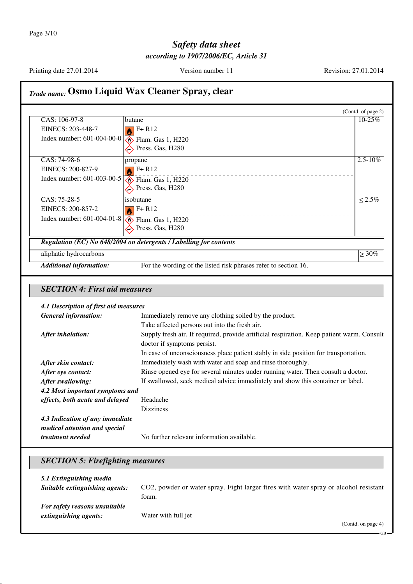Page 3/10

# Safety data sheet according to 1907/2006/EC, Article 31

Printing date 27.01.2014

Version number 11

Revision: 27.01.2014

# Trade name: Osmo Liquid Wax Cleaner Spray, clear

|                                |                                                                    | (Contd. of page 2) |
|--------------------------------|--------------------------------------------------------------------|--------------------|
| CAS: 106-97-8                  | butane                                                             | $10 - 25\%$        |
| EINECS: 203-448-7              | $F + R12$                                                          |                    |
| Index number: 601-004-00-0     | $\diamond$ Flam. Gas 1, H220                                       |                    |
|                                | $\sum$ Press. Gas, H280                                            |                    |
| CAS: 74-98-6                   | propane                                                            | $2.5 - 10\%$       |
| EINECS: 200-827-9              | $F + R12$                                                          |                    |
| Index number: $601-003-00-5$   | $\diamond$ Flam. Gas 1, H220                                       |                    |
|                                | $\leftrightarrow$ Press. Gas, H280                                 |                    |
| CAS: 75-28-5                   | isobutane                                                          | $\leq 2.5\%$       |
| EINECS: 200-857-2              | $F + R12$                                                          |                    |
| Index number: $601-004-01-8$   | $\diamond$ Flam. Gas 1, H220                                       |                    |
|                                | $\leftrightarrow$ Press. Gas, H280                                 |                    |
|                                | Regulation (EC) No 648/2004 on detergents / Labelling for contents |                    |
| aliphatic hydrocarbons         |                                                                    | $\geq 30\%$        |
| <b>Additional information:</b> | For the wording of the listed risk phrases refer to section 16.    |                    |

### **SECTION 4: First aid measures**

#### 4.1 Description of first aid measures

| <b>General information:</b>     | Immediately remove any clothing soiled by the product.                                    |
|---------------------------------|-------------------------------------------------------------------------------------------|
|                                 | Take affected persons out into the fresh air.                                             |
| After inhalation:               | Supply fresh air. If required, provide artificial respiration. Keep patient warm. Consult |
|                                 | doctor if symptoms persist.                                                               |
|                                 | In case of unconsciousness place patient stably in side position for transportation.      |
| After skin contact:             | Immediately wash with water and soap and rinse thoroughly.                                |
| After eye contact:              | Rinse opened eye for several minutes under running water. Then consult a doctor.          |
| After swallowing:               | If swallowed, seek medical advice immediately and show this container or label.           |
| 4.2 Most important symptoms and |                                                                                           |
| effects, both acute and delayed | Headache                                                                                  |
|                                 | <b>Dizziness</b>                                                                          |
| 4.3 Indication of any immediate |                                                                                           |
| medical attention and special   |                                                                                           |
| <i>treatment needed</i>         | No further relevant information available.                                                |

### **SECTION 5: Firefighting measures**

| 5.1 Extinguishing media        | CO2, powder or water spray. Fight larger fires with water spray or alcohol resistant |
|--------------------------------|--------------------------------------------------------------------------------------|
| Suitable extinguishing agents: | foam.                                                                                |
| For safety reasons unsuitable  | Water with full jet                                                                  |
| extinguishing agents:          | (Contd. on page 4)                                                                   |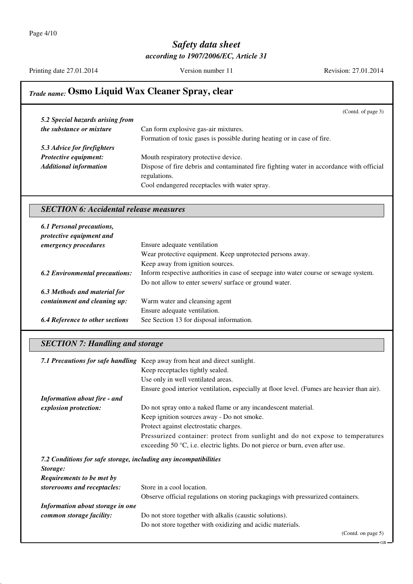Printing date 27.01.2014

Version number 11

Revision: 27.01.2014

# Trade name: Osmo Liquid Wax Cleaner Spray, clear

|                                               | (Contd. of page 3)                                                                      |
|-----------------------------------------------|-----------------------------------------------------------------------------------------|
| 5.2 Special hazards arising from              |                                                                                         |
| the substance or mixture                      | Can form explosive gas-air mixtures.                                                    |
|                                               | Formation of toxic gases is possible during heating or in case of fire.                 |
| 5.3 Advice for firefighters                   |                                                                                         |
| Protective equipment:                         | Mouth respiratory protective device.                                                    |
| <b>Additional information</b>                 | Dispose of fire debris and contaminated fire fighting water in accordance with official |
|                                               | regulations.                                                                            |
|                                               | Cool endangered receptacles with water spray.                                           |
|                                               |                                                                                         |
| <b>SECTION 6: Accidental release measures</b> |                                                                                         |
|                                               |                                                                                         |
| 6.1 Personal precautions,                     |                                                                                         |

| protective equipment and               |                                                                                      |
|----------------------------------------|--------------------------------------------------------------------------------------|
| emergency procedures                   | Ensure adequate ventilation                                                          |
|                                        | Wear protective equipment. Keep unprotected persons away.                            |
|                                        | Keep away from ignition sources.                                                     |
| <b>6.2 Environmental precautions:</b>  | Inform respective authorities in case of seepage into water course or sewage system. |
|                                        | Do not allow to enter sewers/ surface or ground water.                               |
| 6.3 Methods and material for           |                                                                                      |
| containment and cleaning up:           | Warm water and cleansing agent                                                       |
|                                        | Ensure adequate ventilation.                                                         |
| <b>6.4 Reference to other sections</b> | See Section 13 for disposal information.                                             |

### **SECTION 7: Handling and storage**

|                                                                  | 7.1 Precautions for safe handling Keep away from heat and direct sunlight.                 |
|------------------------------------------------------------------|--------------------------------------------------------------------------------------------|
|                                                                  | Keep receptacles tightly sealed.                                                           |
|                                                                  | Use only in well ventilated areas.                                                         |
|                                                                  | Ensure good interior ventilation, especially at floor level. (Fumes are heavier than air). |
| <b>Information about fire - and</b>                              |                                                                                            |
| explosion protection:                                            | Do not spray onto a naked flame or any incandescent material.                              |
|                                                                  | Keep ignition sources away - Do not smoke.                                                 |
|                                                                  | Protect against electrostatic charges.                                                     |
|                                                                  | Pressurized container: protect from sunlight and do not expose to temperatures             |
|                                                                  | exceeding 50 °C, i.e. electric lights. Do not pierce or burn, even after use.              |
| 7.2 Conditions for safe storage, including any incompatibilities |                                                                                            |
| Storage:                                                         |                                                                                            |
| Requirements to be met by                                        |                                                                                            |
| storerooms and receptacles:                                      | Store in a cool location.                                                                  |
|                                                                  | Observe official regulations on storing packagings with pressurized containers.            |
| Information about storage in one                                 |                                                                                            |
| common storage facility:                                         | Do not store together with alkalis (caustic solutions).                                    |
|                                                                  | Do not store together with oxidizing and acidic materials.                                 |
|                                                                  | (Contd. on page 5)                                                                         |

 $GR$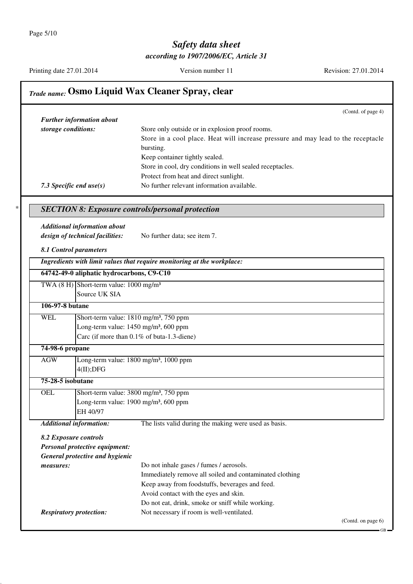$\ast$ 

## Safety data sheet according to 1907/2006/EC, Article 31

Printing date 27.01.2014

Version number 11

Revision: 27.01.2014

|                     |                                                             | (Contd. of page 4)                                                                            |
|---------------------|-------------------------------------------------------------|-----------------------------------------------------------------------------------------------|
|                     | <b>Further information about</b>                            |                                                                                               |
| storage conditions: |                                                             | Store only outside or in explosion proof rooms.                                               |
|                     |                                                             | Store in a cool place. Heat will increase pressure and may lead to the receptacle             |
|                     |                                                             | bursting.                                                                                     |
|                     |                                                             | Keep container tightly sealed.                                                                |
|                     |                                                             | Store in cool, dry conditions in well sealed receptacles.                                     |
|                     |                                                             | Protect from heat and direct sunlight.                                                        |
|                     | 7.3 Specific end $use(s)$                                   | No further relevant information available.                                                    |
|                     |                                                             | <b>SECTION 8: Exposure controls/personal protection</b>                                       |
|                     | <b>Additional information about</b>                         |                                                                                               |
|                     | design of technical facilities:                             | No further data; see item 7.                                                                  |
|                     |                                                             |                                                                                               |
|                     | 8.1 Control parameters                                      |                                                                                               |
|                     |                                                             | Ingredients with limit values that require monitoring at the workplace:                       |
|                     | 64742-49-0 aliphatic hydrocarbons, C9-C10                   |                                                                                               |
|                     | TWA $(8 \text{ H})$ Short-term value: $1000 \text{ mg/m}^3$ |                                                                                               |
|                     | Source UK SIA                                               |                                                                                               |
| 106-97-8 butane     |                                                             |                                                                                               |
| <b>WEL</b>          |                                                             | Short-term value: 1810 mg/m <sup>3</sup> , 750 ppm                                            |
|                     |                                                             | Long-term value: 1450 mg/m <sup>3</sup> , 600 ppm                                             |
|                     |                                                             | Carc (if more than 0.1% of buta-1.3-diene)                                                    |
| 74-98-6 propane     |                                                             |                                                                                               |
| AGW                 |                                                             | Long-term value: 1800 mg/m <sup>3</sup> , 1000 ppm                                            |
|                     | 4(II);DFG                                                   |                                                                                               |
| 75-28-5 isobutane   |                                                             |                                                                                               |
| <b>OEL</b>          |                                                             | Short-term value: 3800 mg/m <sup>3</sup> , 750 ppm                                            |
|                     |                                                             | Long-term value: 1900 mg/m <sup>3</sup> , 600 ppm                                             |
|                     | EH 40/97                                                    |                                                                                               |
|                     | <b>Additional information:</b>                              | The lists valid during the making were used as basis.                                         |
|                     |                                                             |                                                                                               |
|                     |                                                             |                                                                                               |
|                     | 8.2 Exposure controls                                       |                                                                                               |
|                     | Personal protective equipment:                              |                                                                                               |
|                     | General protective and hygienic                             |                                                                                               |
| measures:           |                                                             | Do not inhale gases / fumes / aerosols.                                                       |
|                     |                                                             | Immediately remove all soiled and contaminated clothing                                       |
|                     |                                                             | Keep away from foodstuffs, beverages and feed.                                                |
|                     |                                                             | Avoid contact with the eyes and skin.                                                         |
|                     | <b>Respiratory protection:</b>                              | Do not eat, drink, smoke or sniff while working.<br>Not necessary if room is well-ventilated. |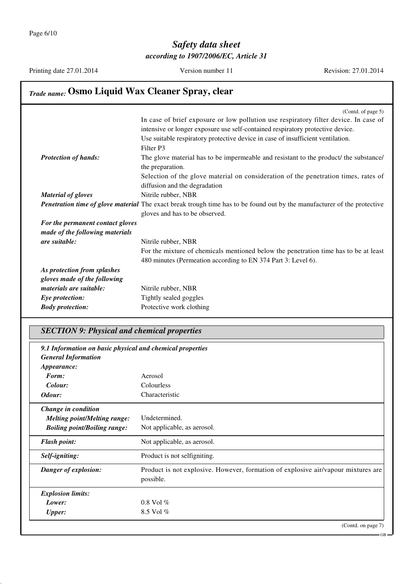Printing date 27.01.2014

Version number 11

Revision: 27.01.2014

| <b>Trade name: Osmo Liquid Wax Cleaner Spray, clear</b> |                                                                                                                                 |  |
|---------------------------------------------------------|---------------------------------------------------------------------------------------------------------------------------------|--|
|                                                         | (Contd. of page $5$ )                                                                                                           |  |
|                                                         | In case of brief exposure or low pollution use respiratory filter device. In case of                                            |  |
|                                                         | intensive or longer exposure use self-contained respiratory protective device.                                                  |  |
|                                                         | Use suitable respiratory protective device in case of insufficient ventilation.                                                 |  |
|                                                         | Filter P3                                                                                                                       |  |
| <b>Protection of hands:</b>                             | The glove material has to be impermeable and resistant to the product/ the substance/                                           |  |
|                                                         | the preparation.                                                                                                                |  |
|                                                         | Selection of the glove material on consideration of the penetration times, rates of                                             |  |
|                                                         | diffusion and the degradation                                                                                                   |  |
| <b>Material of gloves</b>                               | Nitrile rubber, NBR                                                                                                             |  |
|                                                         | <b>Penetration time of glove material</b> The exact break trough time has to be found out by the manufacturer of the protective |  |
|                                                         | gloves and has to be observed.                                                                                                  |  |
| For the permanent contact gloves                        |                                                                                                                                 |  |
| made of the following materials                         |                                                                                                                                 |  |
| are suitable:                                           | Nitrile rubber, NBR                                                                                                             |  |
|                                                         | For the mixture of chemicals mentioned below the penetration time has to be at least                                            |  |
|                                                         | 480 minutes (Permeation according to EN 374 Part 3: Level 6).                                                                   |  |
| As protection from splashes                             |                                                                                                                                 |  |
| gloves made of the following                            |                                                                                                                                 |  |
| materials are suitable:                                 | Nitrile rubber, NBR                                                                                                             |  |
| Eye protection:                                         | Tightly sealed goggles                                                                                                          |  |
| <b>Body protection:</b>                                 | Protective work clothing                                                                                                        |  |

#### **SECTION 9: Physical and chemical properties**

| 9.1 Information on basic physical and chemical properties |                                                                                                |
|-----------------------------------------------------------|------------------------------------------------------------------------------------------------|
| <b>General Information</b><br><i>Appearance:</i>          |                                                                                                |
| Form:                                                     | Aerosol                                                                                        |
| Colour:                                                   | Colourless                                                                                     |
| Odour:                                                    | Characteristic                                                                                 |
| Change in condition                                       |                                                                                                |
| <b>Melting point/Melting range:</b>                       | Undetermined.                                                                                  |
| <b>Boiling point/Boiling range:</b>                       | Not applicable, as aerosol.                                                                    |
| <b>Flash point:</b>                                       | Not applicable, as aerosol.                                                                    |
| Self-igniting:                                            | Product is not selfigniting.                                                                   |
| Danger of explosion:                                      | Product is not explosive. However, formation of explosive air/vapour mixtures are<br>possible. |
| <b>Explosion limits:</b>                                  |                                                                                                |
| Lower:                                                    | $0.8$ Vol $%$                                                                                  |
| <b>Upper:</b>                                             | 8.5 Vol $%$                                                                                    |
|                                                           | (Contd. on page 7)                                                                             |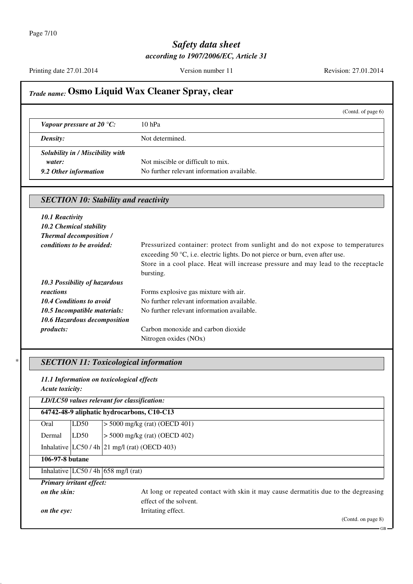Printing date 27.01.2014

Version number 11

Revision: 27.01.2014

# Trade name: Osmo Liquid Wax Cleaner Spray, clear

|                                                                     |                                                                                 | (Contd. of page $6$ ) |
|---------------------------------------------------------------------|---------------------------------------------------------------------------------|-----------------------|
| Vapour pressure at 20 $\degree$ C:                                  | $10$ hPa                                                                        |                       |
| <b>Density:</b>                                                     | Not determined.                                                                 |                       |
| Solubility in / Miscibility with<br>water:<br>9.2 Other information | Not miscible or difficult to mix.<br>No further relevant information available. |                       |

|                                  | <b>SECTION 10: Stability and reactivity</b>                                                                                                                                                                                                                                |  |
|----------------------------------|----------------------------------------------------------------------------------------------------------------------------------------------------------------------------------------------------------------------------------------------------------------------------|--|
| 10.1 Reactivity                  |                                                                                                                                                                                                                                                                            |  |
| 10.2 Chemical stability          |                                                                                                                                                                                                                                                                            |  |
| <b>Thermal decomposition /</b>   |                                                                                                                                                                                                                                                                            |  |
| <i>conditions to be avoided:</i> | Pressurized container: protect from sunlight and do not expose to temperatures<br>exceeding 50 $\degree$ C, i.e. electric lights. Do not pierce or burn, even after use.<br>Store in a cool place. Heat will increase pressure and may lead to the receptacle<br>bursting. |  |
| 10.3 Possibility of hazardous    |                                                                                                                                                                                                                                                                            |  |
| reactions                        | Forms explosive gas mixture with air.                                                                                                                                                                                                                                      |  |
| 10.4 Conditions to avoid         | No further relevant information available.                                                                                                                                                                                                                                 |  |
| 10.5 Incompatible materials:     | No further relevant information available.                                                                                                                                                                                                                                 |  |
| 10.6 Hazardous decomposition     |                                                                                                                                                                                                                                                                            |  |
| <i>products:</i>                 | Carbon monoxide and carbon dioxide                                                                                                                                                                                                                                         |  |
|                                  | Nitrogen oxides (NOx)                                                                                                                                                                                                                                                      |  |

### **SECTION 11: Toxicological information**

11.1 Information on toxicological effects Acute toxicity:

|                 |                                 | LD/LC50 values relevant for classification:                                         |
|-----------------|---------------------------------|-------------------------------------------------------------------------------------|
|                 |                                 | 64742-48-9 aliphatic hydrocarbons, C10-C13                                          |
| Oral            | LD50                            | $>$ 5000 mg/kg (rat) (OECD 401)                                                     |
| Dermal          | LD50                            | $>$ 5000 mg/kg (rat) (OECD 402)                                                     |
|                 |                                 | Inhalative $ LC50/4h 21$ mg/l (rat) (OECD 403)                                      |
| 106-97-8 butane |                                 |                                                                                     |
|                 |                                 | Inhalative $ LC50/4h $ 658 mg/l (rat)                                               |
|                 | <b>Primary irritant effect:</b> |                                                                                     |
| on the skin:    |                                 | At long or repeated contact with skin it may cause dermatitis due to the degreasing |
|                 |                                 | effect of the solvent.                                                              |
| on the eye:     |                                 | Irritating effect.                                                                  |
|                 |                                 | (Contd. on page $8$ )                                                               |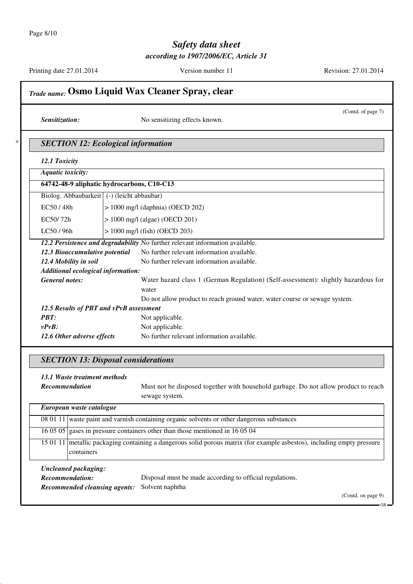Printing date 27.01.2014

Version number 11

Revision: 27.01.2014

|                                              | <b>Trade name: Osmo Liquid Wax Cleaner Spray, clear</b>                            |
|----------------------------------------------|------------------------------------------------------------------------------------|
| Sensitization:                               | (Contd. of page 7)<br>No sensitizing effects known.                                |
|                                              | <b>SECTION 12: Ecological information</b>                                          |
| 12.1 Toxicity                                |                                                                                    |
| <b>Aquatic toxicity:</b>                     |                                                                                    |
|                                              | 64742-48-9 aliphatic hydrocarbons, C10-C13                                         |
| Biolog. Abbaubarkeit   (-) (leicht abbaubar) |                                                                                    |
| EC50/48h                                     | $> 1000$ mg/l (daphnia) (OECD 202)                                                 |
| EC50/72h                                     | $> 1000$ mg/l (algae) (OECD 201)                                                   |
| LC50 / 96h                                   | $> 1000$ mg/l (fish) (OECD 203)                                                    |
|                                              | 12.2 Persistence and degradability No further relevant information available.      |
| 12.3 Bioaccumulative potential               | No further relevant information available.                                         |
| 12.4 Mobility in soil                        | No further relevant information available.                                         |
| Additional ecological information:           |                                                                                    |
| <b>General notes:</b>                        | Water hazard class 1 (German Regulation) (Self-assessment): slightly hazardous for |
|                                              | water                                                                              |
|                                              | Do not allow product to reach ground water, water course or sewage system.         |
| 12.5 Results of PBT and vPvB assessment      |                                                                                    |
| PBT:                                         | Not applicable.                                                                    |
| $v P v B$ :                                  | Not applicable.                                                                    |
| 12.6 Other adverse effects                   | No further relevant information available.                                         |

#### **SECTION 13: Disposal considerations**

13.1 Waste treatment methods Recommendation

Must not be disposed together with household garbage. Do not allow product to reach sewage system.

| European waste catalogue             |                                                                                                                         |
|--------------------------------------|-------------------------------------------------------------------------------------------------------------------------|
|                                      | 08 01 11 waste paint and varnish containing organic solvents or other dangerous substances                              |
|                                      | 16 05 05 gases in pressure containers other than those mentioned in 16 05 04                                            |
| containers                           | 15 01 11 metallic packaging containing a dangerous solid porous matrix (for example asbestos), including empty pressure |
| Uncleaned packaging:                 |                                                                                                                         |
| Recommendation:                      | Disposal must be made according to official regulations.                                                                |
| <b>Recommended cleansing agents:</b> | Solvent naphtha                                                                                                         |
|                                      | (Cond. on page 9)                                                                                                       |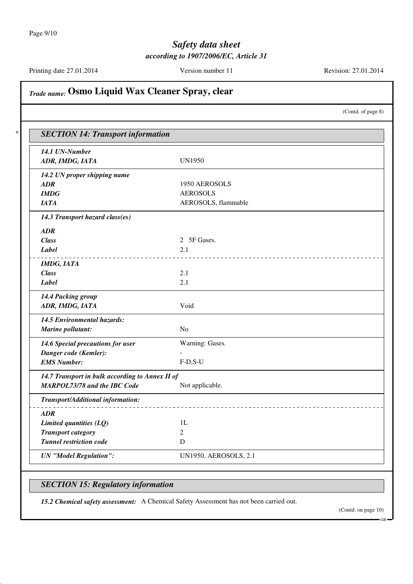Printing date 27.01.2014

Version number 11

Revision: 27.01.2014

(Contd. of page 8)

# Trade name: Osmo Liquid Wax Cleaner Spray, clear

**SECTION 14: Transport information** 14.1 UN-Number **UN1950** ADR, IMDG, IATA 14.2 UN proper shipping name **ADR** 1950 AEROSOLS  $IMDG$ **AEROSOLS JATA** AEROSOLS, flammable 14.3 Transport hazard class(es)  $\bf{ADR}$ 2 5F Gases. **Class Label**  $2.1$ -----------------------**IMDG, IATA Class**  $2.1$ **Label**  $2.1$ 14.4 Packing group ADR, IMDG, IATA Void 14.5 Environmental hazards: Marine pollutant: N<sub>o</sub> 14.6 Special precautions for user Warning: Gases. Danger code (Kemler): **EMS Number:**  $F-D.S-U$ 14.7 Transport in bulk according to Annex II of **MARPOL73/78 and the IBC Code** Not applicable. **Transport/Additional information:**  $\boldsymbol{ADR}$ Limited quantities  $(LQ)$  $1L$ **Transport category**  $\overline{2}$ **Tunnel restriction code**  $\mathbf D$ **UN** "Model Regulation": **UN1950, AEROSOLS, 2.1** 

#### **SECTION 15: Regulatory information**

15.2 Chemical safety assessment: A Chemical Safety Assessment has not been carried out.

(Contd. on page 10)